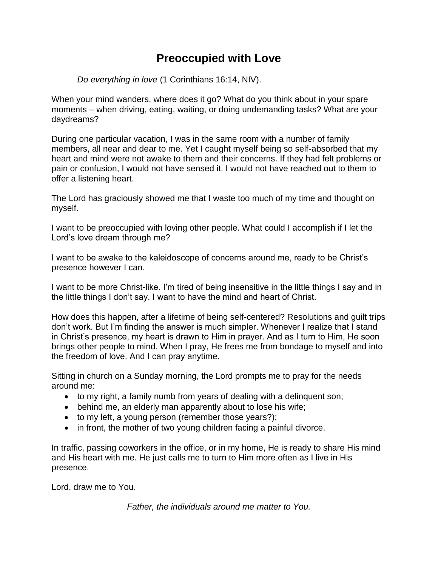## **Preoccupied with Love**

*Do everything in love* (1 Corinthians 16:14, NIV).

When your mind wanders, where does it go? What do you think about in your spare moments – when driving, eating, waiting, or doing undemanding tasks? What are your daydreams?

During one particular vacation, I was in the same room with a number of family members, all near and dear to me. Yet I caught myself being so self-absorbed that my heart and mind were not awake to them and their concerns. If they had felt problems or pain or confusion, I would not have sensed it. I would not have reached out to them to offer a listening heart.

The Lord has graciously showed me that I waste too much of my time and thought on myself.

I want to be preoccupied with loving other people. What could I accomplish if I let the Lord's love dream through me?

I want to be awake to the kaleidoscope of concerns around me, ready to be Christ's presence however I can.

I want to be more Christ-like. I'm tired of being insensitive in the little things I say and in the little things I don't say. I want to have the mind and heart of Christ.

How does this happen, after a lifetime of being self-centered? Resolutions and guilt trips don't work. But I'm finding the answer is much simpler. Whenever I realize that I stand in Christ's presence, my heart is drawn to Him in prayer. And as I turn to Him, He soon brings other people to mind. When I pray, He frees me from bondage to myself and into the freedom of love. And I can pray anytime.

Sitting in church on a Sunday morning, the Lord prompts me to pray for the needs around me:

- to my right, a family numb from years of dealing with a delinquent son;
- behind me, an elderly man apparently about to lose his wife;
- to my left, a young person (remember those years?);
- in front, the mother of two young children facing a painful divorce.

In traffic, passing coworkers in the office, or in my home, He is ready to share His mind and His heart with me. He just calls me to turn to Him more often as I live in His presence.

Lord, draw me to You.

*Father, the individuals around me matter to You.*